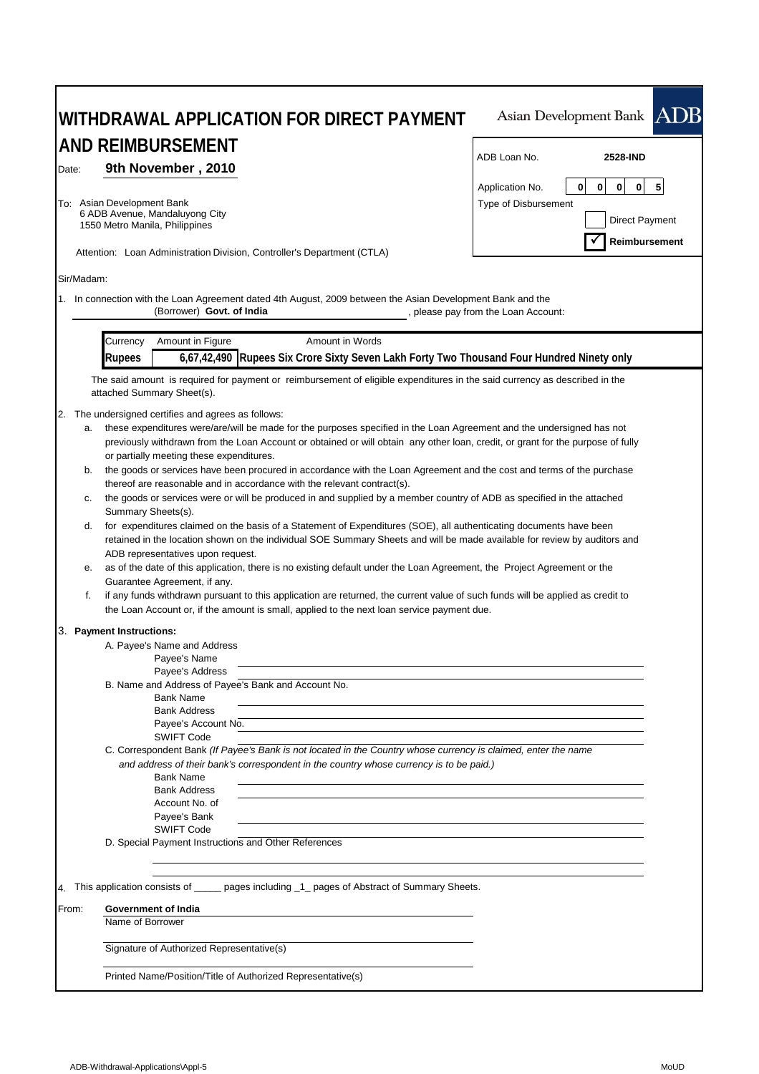| WITHDRAWAL APPLICATION FOR DIRECT PAYMENT                                                                                                                                                                                                                                                                                                                                                                                                                                                                                                                                                                                                                                                                                                                                                                                                                                                                                                                                                                                                                                                                                                                                                                                                                                                                                                                                                                                                                                                                                                                                                                                                 | Asian Development Bank ADB                                                                                              |  |  |  |
|-------------------------------------------------------------------------------------------------------------------------------------------------------------------------------------------------------------------------------------------------------------------------------------------------------------------------------------------------------------------------------------------------------------------------------------------------------------------------------------------------------------------------------------------------------------------------------------------------------------------------------------------------------------------------------------------------------------------------------------------------------------------------------------------------------------------------------------------------------------------------------------------------------------------------------------------------------------------------------------------------------------------------------------------------------------------------------------------------------------------------------------------------------------------------------------------------------------------------------------------------------------------------------------------------------------------------------------------------------------------------------------------------------------------------------------------------------------------------------------------------------------------------------------------------------------------------------------------------------------------------------------------|-------------------------------------------------------------------------------------------------------------------------|--|--|--|
| <b>AND REIMBURSEMENT</b>                                                                                                                                                                                                                                                                                                                                                                                                                                                                                                                                                                                                                                                                                                                                                                                                                                                                                                                                                                                                                                                                                                                                                                                                                                                                                                                                                                                                                                                                                                                                                                                                                  |                                                                                                                         |  |  |  |
|                                                                                                                                                                                                                                                                                                                                                                                                                                                                                                                                                                                                                                                                                                                                                                                                                                                                                                                                                                                                                                                                                                                                                                                                                                                                                                                                                                                                                                                                                                                                                                                                                                           | ADB Loan No.<br>2528-IND                                                                                                |  |  |  |
| 9th November, 2010<br>Date:<br>To: Asian Development Bank<br>6 ADB Avenue, Mandaluyong City<br>1550 Metro Manila, Philippines                                                                                                                                                                                                                                                                                                                                                                                                                                                                                                                                                                                                                                                                                                                                                                                                                                                                                                                                                                                                                                                                                                                                                                                                                                                                                                                                                                                                                                                                                                             | $\mathbf 0$<br>5<br>0<br>$\mathbf 0$<br>$\mathbf 0$<br>Application No.<br>Type of Disbursement<br><b>Direct Payment</b> |  |  |  |
| Attention: Loan Administration Division, Controller's Department (CTLA)                                                                                                                                                                                                                                                                                                                                                                                                                                                                                                                                                                                                                                                                                                                                                                                                                                                                                                                                                                                                                                                                                                                                                                                                                                                                                                                                                                                                                                                                                                                                                                   | Reimbursement                                                                                                           |  |  |  |
| Sir/Madam:                                                                                                                                                                                                                                                                                                                                                                                                                                                                                                                                                                                                                                                                                                                                                                                                                                                                                                                                                                                                                                                                                                                                                                                                                                                                                                                                                                                                                                                                                                                                                                                                                                |                                                                                                                         |  |  |  |
| 1. In connection with the Loan Agreement dated 4th August, 2009 between the Asian Development Bank and the<br>(Borrower) Govt. of India                                                                                                                                                                                                                                                                                                                                                                                                                                                                                                                                                                                                                                                                                                                                                                                                                                                                                                                                                                                                                                                                                                                                                                                                                                                                                                                                                                                                                                                                                                   | , please pay from the Loan Account:                                                                                     |  |  |  |
| Amount in Figure<br>Amount in Words<br>Currency                                                                                                                                                                                                                                                                                                                                                                                                                                                                                                                                                                                                                                                                                                                                                                                                                                                                                                                                                                                                                                                                                                                                                                                                                                                                                                                                                                                                                                                                                                                                                                                           |                                                                                                                         |  |  |  |
| 6,67,42,490 Rupees Six Crore Sixty Seven Lakh Forty Two Thousand Four Hundred Ninety only<br><b>Rupees</b>                                                                                                                                                                                                                                                                                                                                                                                                                                                                                                                                                                                                                                                                                                                                                                                                                                                                                                                                                                                                                                                                                                                                                                                                                                                                                                                                                                                                                                                                                                                                |                                                                                                                         |  |  |  |
| The said amount is required for payment or reimbursement of eligible expenditures in the said currency as described in the<br>attached Summary Sheet(s).                                                                                                                                                                                                                                                                                                                                                                                                                                                                                                                                                                                                                                                                                                                                                                                                                                                                                                                                                                                                                                                                                                                                                                                                                                                                                                                                                                                                                                                                                  |                                                                                                                         |  |  |  |
| 2.<br>The undersigned certifies and agrees as follows:<br>these expenditures were/are/will be made for the purposes specified in the Loan Agreement and the undersigned has not<br>а.<br>previously withdrawn from the Loan Account or obtained or will obtain any other loan, credit, or grant for the purpose of fully<br>or partially meeting these expenditures.<br>the goods or services have been procured in accordance with the Loan Agreement and the cost and terms of the purchase<br>b.<br>thereof are reasonable and in accordance with the relevant contract(s).<br>the goods or services were or will be produced in and supplied by a member country of ADB as specified in the attached<br>с.<br>Summary Sheets(s).<br>for expenditures claimed on the basis of a Statement of Expenditures (SOE), all authenticating documents have been<br>d.<br>retained in the location shown on the individual SOE Summary Sheets and will be made available for review by auditors and<br>ADB representatives upon request.<br>as of the date of this application, there is no existing default under the Loan Agreement, the Project Agreement or the<br>е.<br>Guarantee Agreement, if any.<br>f.<br>if any funds withdrawn pursuant to this application are returned, the current value of such funds will be applied as credit to<br>the Loan Account or, if the amount is small, applied to the next loan service payment due.<br>3. Payment Instructions:<br>A. Payee's Name and Address<br>Payee's Name<br>Payee's Address<br>B. Name and Address of Payee's Bank and Account No.<br><b>Bank Name</b><br><b>Bank Address</b> |                                                                                                                         |  |  |  |
| Payee's Account No.<br><b>SWIFT Code</b><br>C. Correspondent Bank (If Payee's Bank is not located in the Country whose currency is claimed, enter the name<br>and address of their bank's correspondent in the country whose currency is to be paid.)<br><b>Bank Name</b><br><b>Bank Address</b><br>Account No. of<br>Payee's Bank<br><b>SWIFT Code</b><br>D. Special Payment Instructions and Other References                                                                                                                                                                                                                                                                                                                                                                                                                                                                                                                                                                                                                                                                                                                                                                                                                                                                                                                                                                                                                                                                                                                                                                                                                           |                                                                                                                         |  |  |  |
| 4. This application consists of ______ pages including _1_ pages of Abstract of Summary Sheets.                                                                                                                                                                                                                                                                                                                                                                                                                                                                                                                                                                                                                                                                                                                                                                                                                                                                                                                                                                                                                                                                                                                                                                                                                                                                                                                                                                                                                                                                                                                                           |                                                                                                                         |  |  |  |
| Government of India<br>From:<br>Name of Borrower                                                                                                                                                                                                                                                                                                                                                                                                                                                                                                                                                                                                                                                                                                                                                                                                                                                                                                                                                                                                                                                                                                                                                                                                                                                                                                                                                                                                                                                                                                                                                                                          |                                                                                                                         |  |  |  |
| Signature of Authorized Representative(s)                                                                                                                                                                                                                                                                                                                                                                                                                                                                                                                                                                                                                                                                                                                                                                                                                                                                                                                                                                                                                                                                                                                                                                                                                                                                                                                                                                                                                                                                                                                                                                                                 |                                                                                                                         |  |  |  |
| Printed Name/Position/Title of Authorized Representative(s)                                                                                                                                                                                                                                                                                                                                                                                                                                                                                                                                                                                                                                                                                                                                                                                                                                                                                                                                                                                                                                                                                                                                                                                                                                                                                                                                                                                                                                                                                                                                                                               |                                                                                                                         |  |  |  |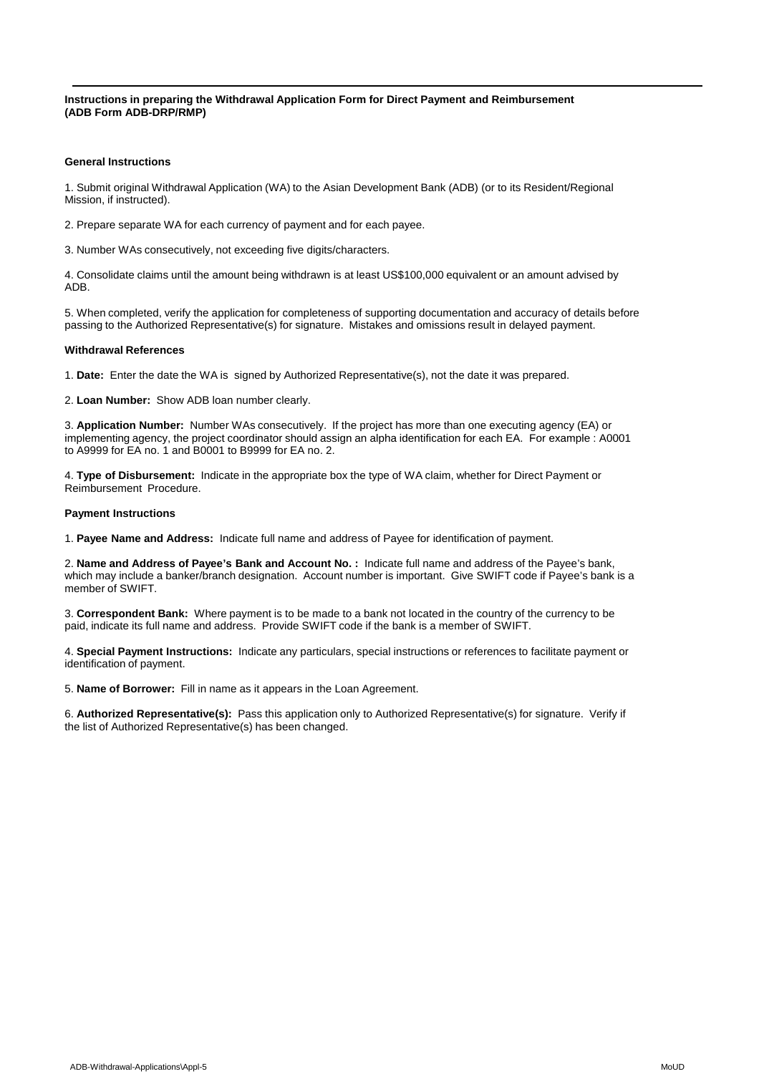**Instructions in preparing the Withdrawal Application Form for Direct Payment and Reimbursement (ADB Form ADB-DRP/RMP)**

### **General Instructions**

1. Submit original Withdrawal Application (WA) to the Asian Development Bank (ADB) (or to its Resident/Regional Mission, if instructed).

2. Prepare separate WA for each currency of payment and for each payee.

3. Number WAs consecutively, not exceeding five digits/characters.

4. Consolidate claims until the amount being withdrawn is at least US\$100,000 equivalent or an amount advised by ADB.

5. When completed, verify the application for completeness of supporting documentation and accuracy of details before passing to the Authorized Representative(s) for signature. Mistakes and omissions result in delayed payment.

#### **Withdrawal References**

1. **Date:** Enter the date the WA is signed by Authorized Representative(s), not the date it was prepared.

2. **Loan Number:** Show ADB loan number clearly.

3. **Application Number:** Number WAs consecutively. If the project has more than one executing agency (EA) or implementing agency, the project coordinator should assign an alpha identification for each EA. For example : A0001 to A9999 for EA no. 1 and B0001 to B9999 for EA no. 2.

4. **Type of Disbursement:** Indicate in the appropriate box the type of WA claim, whether for Direct Payment or Reimbursement Procedure.

#### **Payment Instructions**

1. **Payee Name and Address:** Indicate full name and address of Payee for identification of payment.

2. **Name and Address of Payee's Bank and Account No. :** Indicate full name and address of the Payee's bank, which may include a banker/branch designation. Account number is important. Give SWIFT code if Payee's bank is a member of SWIFT.

3. **Correspondent Bank:** Where payment is to be made to a bank not located in the country of the currency to be paid, indicate its full name and address. Provide SWIFT code if the bank is a member of SWIFT.

4. **Special Payment Instructions:** Indicate any particulars, special instructions or references to facilitate payment or identification of payment.

5. **Name of Borrower:** Fill in name as it appears in the Loan Agreement.

6. **Authorized Representative(s):** Pass this application only to Authorized Representative(s) for signature. Verify if the list of Authorized Representative(s) has been changed.